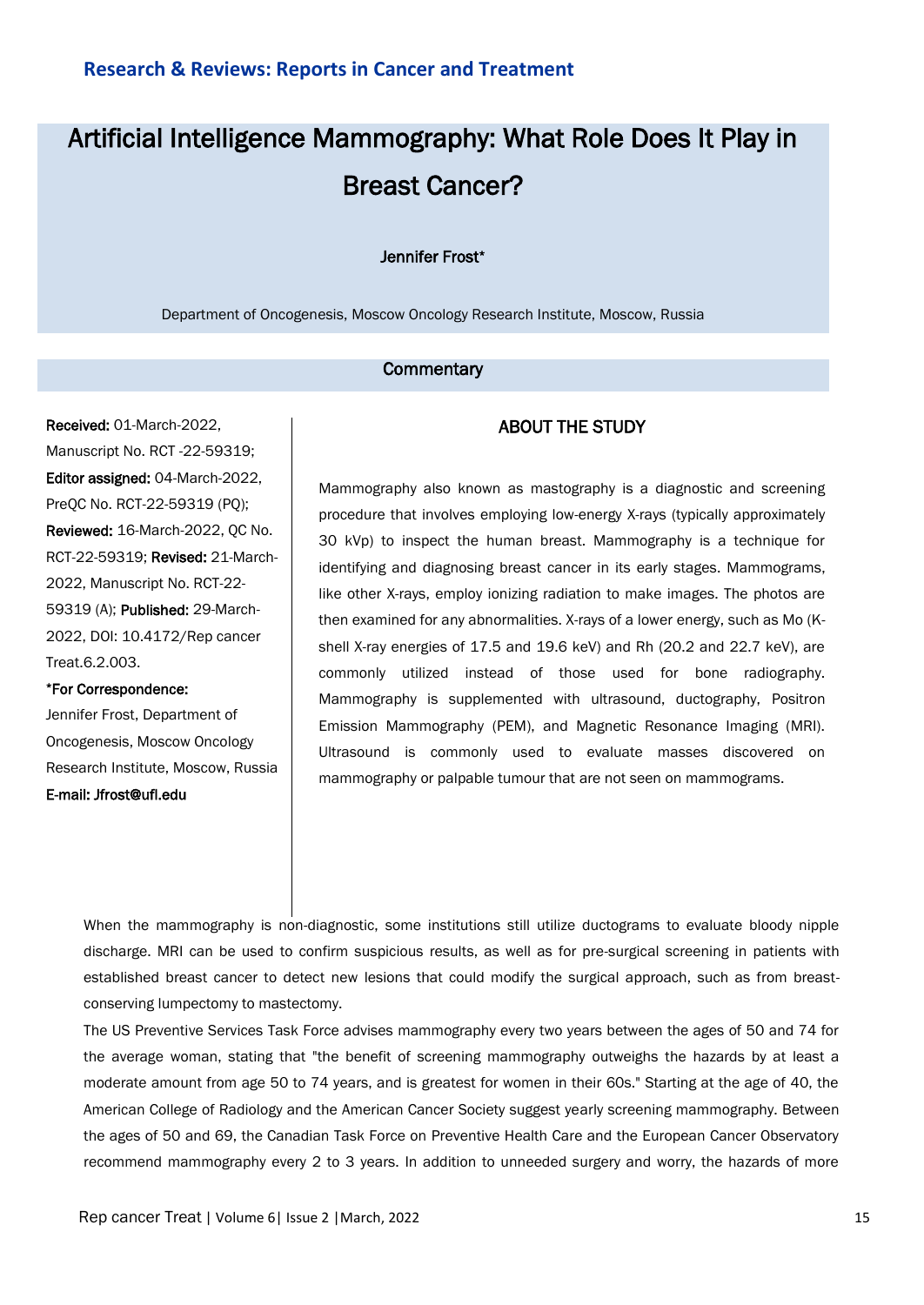# Artificial Intelligence Mammography: What Role Does It Play in Breast Cancer?

### Jennifer Frost\*

Department of Oncogenesis, Moscow Oncology Research Institute, Moscow, Russia

## **Commentary**

Received: 01-March-2022, Manuscript No. RCT -22-59319; Editor assigned: 04-March-2022, PreQC No. RCT-22-59319 (PQ); Reviewed: 16-March-2022, QC No. RCT-22-59319; Revised: 21-March-2022, Manuscript No. RCT-22- 59319 (A); Published: 29-March-2022, DOI: 10.4172/Rep cancer Treat.6.2.003.

#### \*For Correspondence:

Jennifer Frost, Department of Oncogenesis, Moscow Oncology Research Institute, Moscow, Russia E-mail: Jfrost@ufl.edu

# ABOUT THE STUDY

Mammography also known as mastography is a diagnostic and screening procedure that involves employing low-energy X-rays (typically approximately 30 kVp) to inspect the human breast. Mammography is a technique for identifying and diagnosing breast cancer in its early stages. Mammograms, like other X-rays, employ ionizing radiation to make images. The photos are then examined for any abnormalities. X-rays of a lower energy, such as Mo (Kshell X-ray energies of 17.5 and 19.6 keV) and Rh (20.2 and 22.7 keV), are commonly utilized instead of those used for bone radiography. Mammography is supplemented with ultrasound, ductography, Positron Emission Mammography (PEM), and Magnetic Resonance Imaging (MRI). Ultrasound is commonly used to evaluate masses discovered on mammography or palpable tumour that are not seen on mammograms.

When the mammography is non-diagnostic, some institutions still utilize ductograms to evaluate bloody nipple discharge. MRI can be used to confirm suspicious results, as well as for pre-surgical screening in patients with established breast cancer to detect new lesions that could modify the surgical approach, such as from breastconserving lumpectomy to mastectomy.

The US Preventive Services Task Force advises mammography every two years between the ages of 50 and 74 for the average woman, stating that "the benefit of screening mammography outweighs the hazards by at least a moderate amount from age 50 to 74 years, and is greatest for women in their 60s." Starting at the age of 40, the American College of Radiology and the American Cancer Society suggest yearly screening mammography. Between the ages of 50 and 69, the Canadian Task Force on Preventive Health Care and the European Cancer Observatory recommend mammography every 2 to 3 years. In addition to unneeded surgery and worry, the hazards of more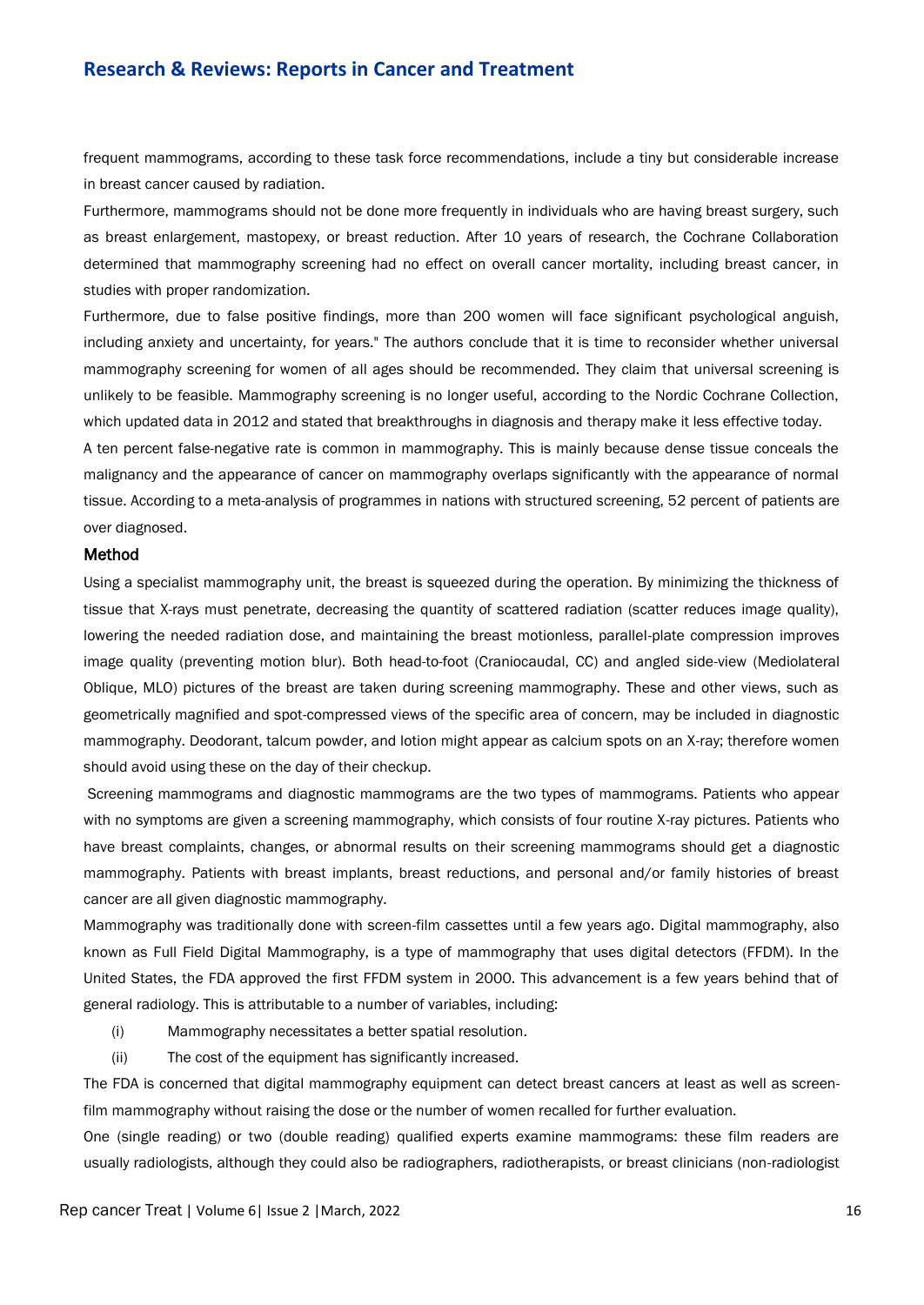frequent mammograms, according to these task force recommendations, include a tiny but considerable increase in breast cancer caused by radiation.

Furthermore, mammograms should not be done more frequently in individuals who are having breast surgery, such as breast enlargement, mastopexy, or breast reduction. After 10 years of research, the Cochrane Collaboration determined that mammography screening had no effect on overall cancer mortality, including breast cancer, in studies with proper randomization.

Furthermore, due to false positive findings, more than 200 women will face significant psychological anguish, including anxiety and uncertainty, for years." The authors conclude that it is time to reconsider whether universal mammography screening for women of all ages should be recommended. They claim that universal screening is unlikely to be feasible. Mammography screening is no longer useful, according to the Nordic Cochrane Collection, which updated data in 2012 and stated that breakthroughs in diagnosis and therapy make it less effective today.

A ten percent false-negative rate is common in mammography. This is mainly because dense tissue conceals the malignancy and the appearance of cancer on mammography overlaps significantly with the appearance of normal tissue. According to a meta-analysis of programmes in nations with structured screening, 52 percent of patients are over diagnosed.

# Method

Using a specialist mammography unit, the breast is squeezed during the operation. By minimizing the thickness of tissue that X-rays must penetrate, decreasing the quantity of scattered radiation (scatter reduces image quality), lowering the needed radiation dose, and maintaining the breast motionless, parallel-plate compression improves image quality (preventing motion blur). Both head-to-foot (Craniocaudal, CC) and angled side-view (Mediolateral Oblique, MLO) pictures of the breast are taken during screening mammography. These and other views, such as geometrically magnified and spot-compressed views of the specific area of concern, may be included in diagnostic mammography. Deodorant, talcum powder, and lotion might appear as calcium spots on an X-ray; therefore women should avoid using these on the day of their checkup.

Screening mammograms and diagnostic mammograms are the two types of mammograms. Patients who appear with no symptoms are given a screening mammography, which consists of four routine X-ray pictures. Patients who have breast complaints, changes, or abnormal results on their screening mammograms should get a diagnostic mammography. Patients with breast implants, breast reductions, and personal and/or family histories of breast cancer are all given diagnostic mammography.

Mammography was traditionally done with screen-film cassettes until a few years ago. Digital mammography, also known as Full Field Digital Mammography, is a type of mammography that uses digital detectors (FFDM). In the United States, the FDA approved the first FFDM system in 2000. This advancement is a few years behind that of general radiology. This is attributable to a number of variables, including:

- (i) Mammography necessitates a better spatial resolution.
- (ii) The cost of the equipment has significantly increased.

The FDA is concerned that digital mammography equipment can detect breast cancers at least as well as screenfilm mammography without raising the dose or the number of women recalled for further evaluation.

One (single reading) or two (double reading) qualified experts examine mammograms: these film readers are usually radiologists, although they could also be radiographers, radiotherapists, or breast clinicians (non-radiologist